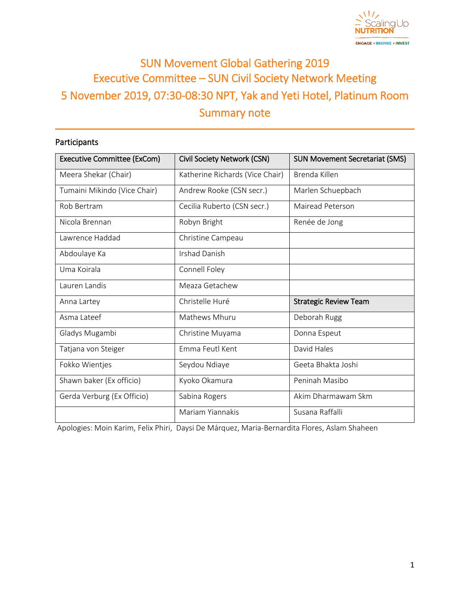

# SUN Movement Global Gathering 2019 Executive Committee – SUN Civil Society Network Meeting 5 November 2019, 07:30-08:30 NPT, Yak and Yeti Hotel, Platinum Room Summary note

# Participants

| <b>Executive Committee (ExCom)</b> | Civil Society Network (CSN)     | <b>SUN Movement Secretariat (SMS)</b> |
|------------------------------------|---------------------------------|---------------------------------------|
| Meera Shekar (Chair)               | Katherine Richards (Vice Chair) | Brenda Killen                         |
| Tumaini Mikindo (Vice Chair)       | Andrew Rooke (CSN secr.)        | Marlen Schuepbach                     |
| Rob Bertram                        | Cecilia Ruberto (CSN secr.)     | Mairead Peterson                      |
| Nicola Brennan                     | Robyn Bright                    | Renée de Jong                         |
| Lawrence Haddad                    | Christine Campeau               |                                       |
| Abdoulaye Ka                       | <b>Irshad Danish</b>            |                                       |
| Uma Koirala                        | Connell Foley                   |                                       |
| Lauren Landis                      | Meaza Getachew                  |                                       |
| Anna Lartey                        | Christelle Huré                 | <b>Strategic Review Team</b>          |
| Asma Lateef                        | Mathews Mhuru                   | Deborah Rugg                          |
| Gladys Mugambi                     | Christine Muyama                | Donna Espeut                          |
| Tatjana von Steiger                | Emma Feutl Kent                 | David Hales                           |
| Fokko Wientjes                     | Seydou Ndiaye                   | Geeta Bhakta Joshi                    |
| Shawn baker (Ex officio)           | Kyoko Okamura                   | Peninah Masibo                        |
| Gerda Verburg (Ex Officio)         | Sabina Rogers                   | Akim Dharmawam Skm                    |
|                                    | Mariam Yiannakis                | Susana Raffalli                       |

Apologies: Moin Karim, Felix Phiri, Daysi De Márquez, Maria-Bernardita Flores, Aslam Shaheen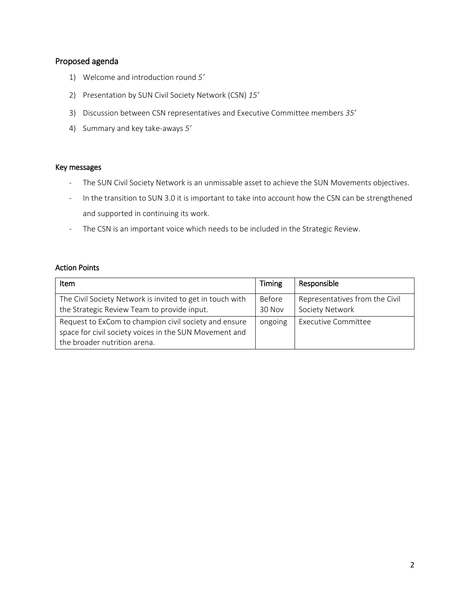## Proposed agenda

- 1) Welcome and introduction round *5'*
- 2) Presentation by SUN Civil Society Network (CSN) *15'*
- 3) Discussion between CSN representatives and Executive Committee members *35'*
- 4) Summary and key take-aways *5'*

#### Key messages

- The SUN Civil Society Network is an unmissable asset to achieve the SUN Movements objectives.
- In the transition to SUN 3.0 it is important to take into account how the CSN can be strengthened and supported in continuing its work.
- The CSN is an important voice which needs to be included in the Strategic Review.

## Action Points

| <b>Item</b>                                               | Timing  | Responsible                    |
|-----------------------------------------------------------|---------|--------------------------------|
| The Civil Society Network is invited to get in touch with | Before  | Representatives from the Civil |
| the Strategic Review Team to provide input.               | 30 Nov  | Society Network                |
| Request to ExCom to champion civil society and ensure     | ongoing | Executive Committee            |
| space for civil society voices in the SUN Movement and    |         |                                |
| the broader nutrition arena.                              |         |                                |